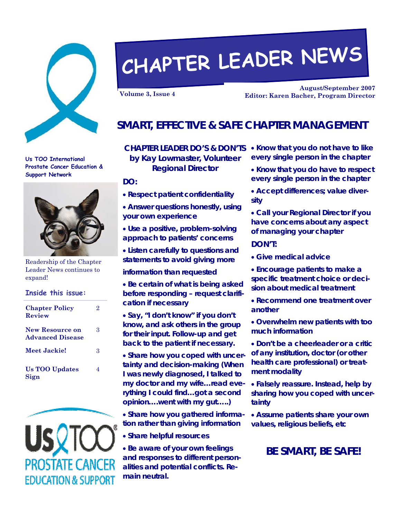

# **CHAPTER LEADER NEWS**

**August/September 2007 Volume 3, Issue 4 Editor: Karen Bacher, Program Director** 

# **SMART, EFFECTIVE & SAFE CHAPTER MANAGEMENT**

**Us TOO International Prostate Cancer Education & Support Network** 



Readership of the Chapter Leader News continues to expand!

## **Inside this issue:**

| <b>Chapter Policy</b><br>Review                   | 9. |
|---------------------------------------------------|----|
| <b>New Resource on</b><br><b>Advanced Disease</b> | 3  |
| Meet Jackie!                                      | 3  |
| <b>Us TOO Updates</b><br>Sign                     |    |



**by Kay Lowmaster, Volunteer Regional Director** 

#### **DO:**

- **Respect patient confidentiality**
- **Answer questions honestly, using your own experience**
- **Use a positive, problem-solving approach to patients' concerns**
- **Listen carefully to questions and statements to avoid giving more**
- **information than requested**
- **Be certain of what is being asked before responding – request clarification if necessary**
- **Say, "I don't know" if you don't know, and ask others in the group for their input. Follow-up and get back to the patient if necessary.**
- **Share how you coped with uncertainty and decision-making (When I was newly diagnosed, I talked to my doctor and my wife…read everything I could find…got a second opinion….went with my gut…..)**
- **Share how you gathered information rather than giving information**
- **Share helpful resources**

• **Be aware of your own feelings and responses to different personalities and potential conflicts. Remain neutral.** 

- **CHAPTER LEADER DO'S & DON'TS Know that you do not have to like every single person in the chapter** 
	- **Know that you do have to respect every single person in the chapter**
	- **Accept differences; value diversity**
	- **Call your Regional Director if you have concerns about any aspect of managing your chapter**

#### **DON'T:**

- **Give medical advice**
- **Encourage patients to make a specific treatment choice or decision about medical treatment**
- **Recommend one treatment over another**
- **Overwhelm new patients with too much information**
- **Don't be a cheerleader or a critic of any institution, doctor (or other health care professional) or treatment modality**
- **Falsely reassure. Instead, help by sharing how you coped with uncertainty**
- **Assume patients share your own values, religious beliefs, etc**

## **BE SMART, BE SAFE!**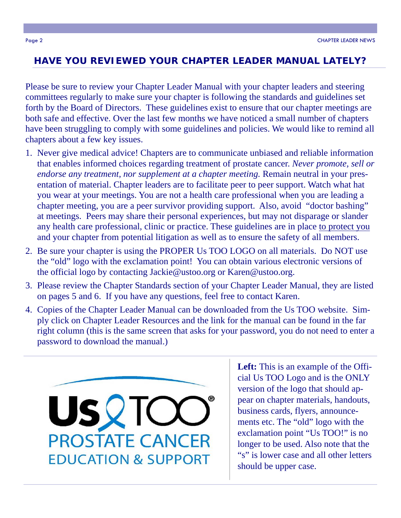## **HAVE YOU REVIEWED YOUR CHAPTER LEADER MANUAL LATELY?**

Please be sure to review your Chapter Leader Manual with your chapter leaders and steering committees regularly to make sure your chapter is following the standards and guidelines set forth by the Board of Directors. These guidelines exist to ensure that our chapter meetings are both safe and effective. Over the last few months we have noticed a small number of chapters have been struggling to comply with some guidelines and policies. We would like to remind all chapters about a few key issues.

- 1. Never give medical advice! Chapters are to communicate unbiased and reliable information that enables informed choices regarding treatment of prostate cancer. *Never promote, sell or endorse any treatment, nor supplement at a chapter meeting.* Remain neutral in your presentation of material. Chapter leaders are to facilitate peer to peer support. Watch what hat you wear at your meetings. You are not a health care professional when you are leading a chapter meeting, you are a peer survivor providing support. Also, avoid "doctor bashing" at meetings. Peers may share their personal experiences, but may not disparage or slander any health care professional, clinic or practice. These guidelines are in place to protect you and your chapter from potential litigation as well as to ensure the safety of all members.
- 2. Be sure your chapter is using the PROPER Us TOO LOGO on all materials. Do NOT use the "old" logo with the exclamation point! You can obtain various electronic versions of the official logo by contacting Jackie@ustoo.org or Karen@ustoo.org.
- 3. Please review the Chapter Standards section of your Chapter Leader Manual, they are listed on pages 5 and 6. If you have any questions, feel free to contact Karen.
- 4. Copies of the Chapter Leader Manual can be downloaded from the Us TOO website. Simply click on Chapter Leader Resources and the link for the manual can be found in the far right column (this is the same screen that asks for your password, you do not need to enter a password to download the manual.)



**Left:** This is an example of the Official Us TOO Logo and is the ONLY version of the logo that should appear on chapter materials, handouts, business cards, flyers, announcements etc. The "old" logo with the exclamation point "Us TOO!" is no longer to be used. Also note that the "s" is lower case and all other letters should be upper case.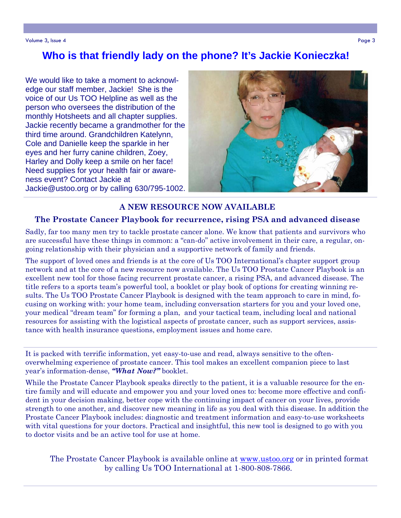# **Who is that friendly lady on the phone? It's Jackie Konieczka!**

We would like to take a moment to acknowledge our staff member, Jackie! She is the voice of our Us TOO Helpline as well as the person who oversees the distribution of the monthly Hotsheets and all chapter supplies. Jackie recently became a grandmother for the third time around. Grandchildren Katelynn, Cole and Danielle keep the sparkle in her eyes and her furry canine children, Zoey, Harley and Dolly keep a smile on her face! Need supplies for your health fair or awareness event? Contact Jackie at Jackie@ustoo.org or by calling 630/795-1002.



### **A NEW RESOURCE NOW AVAILABLE**

#### **The Prostate Cancer Playbook for recurrence, rising PSA and advanced disease**

Sadly, far too many men try to tackle prostate cancer alone. We know that patients and survivors who are successful have these things in common: a "can-do" active involvement in their care, a regular, ongoing relationship with their physician and a supportive network of family and friends.

The support of loved ones and friends is at the core of Us TOO International's chapter support group network and at the core of a new resource now available. The Us TOO Prostate Cancer Playbook is an excellent new tool for those facing recurrent prostate cancer, a rising PSA, and advanced disease. The title refers to a sports team's powerful tool, a booklet or play book of options for creating winning results. The Us TOO Prostate Cancer Playbook is designed with the team approach to care in mind, focusing on working with: your home team, including conversation starters for you and your loved one, your medical "dream team" for forming a plan, and your tactical team, including local and national resources for assisting with the logistical aspects of prostate cancer, such as support services, assistance with health insurance questions, employment issues and home care.

It is packed with terrific information, yet easy-to-use and read, always sensitive to the oftenoverwhelming experience of prostate cancer. This tool makes an excellent companion piece to last year's information-dense, *"What Now?"* booklet.

While the Prostate Cancer Playbook speaks directly to the patient, it is a valuable resource for the entire family and will educate and empower you and your loved ones to: become more effective and confident in your decision making, better cope with the continuing impact of cancer on your lives, provide strength to one another, and discover new meaning in life as you deal with this disease. In addition the Prostate Cancer Playbook includes: diagnostic and treatment information and easy-to-use worksheets with vital questions for your doctors. Practical and insightful, this new tool is designed to go with you to doctor visits and be an active tool for use at home.

The Prostate Cancer Playbook is available online at www.ustoo.org or in printed format by calling Us TOO International at 1-800-808-7866.